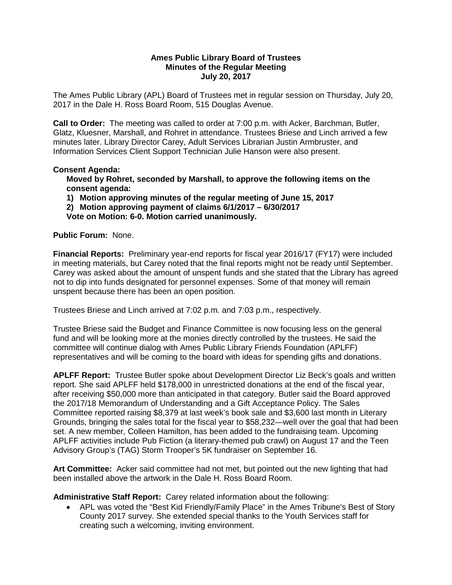#### **Ames Public Library Board of Trustees Minutes of the Regular Meeting July 20, 2017**

The Ames Public Library (APL) Board of Trustees met in regular session on Thursday, July 20, 2017 in the Dale H. Ross Board Room, 515 Douglas Avenue.

**Call to Order:** The meeting was called to order at 7:00 p.m. with Acker, Barchman, Butler, Glatz, Kluesner, Marshall, and Rohret in attendance. Trustees Briese and Linch arrived a few minutes later. Library Director Carey, Adult Services Librarian Justin Armbruster, and Information Services Client Support Technician Julie Hanson were also present.

## **Consent Agenda:**

**Moved by Rohret, seconded by Marshall, to approve the following items on the consent agenda:**

**1) Motion approving minutes of the regular meeting of June 15, 2017**

**2) Motion approving payment of claims 6/1/2017 – 6/30/2017**

**Vote on Motion: 6-0. Motion carried unanimously.**

## **Public Forum:** None.

**Financial Reports:** Preliminary year-end reports for fiscal year 2016/17 (FY17) were included in meeting materials, but Carey noted that the final reports might not be ready until September. Carey was asked about the amount of unspent funds and she stated that the Library has agreed not to dip into funds designated for personnel expenses. Some of that money will remain unspent because there has been an open position.

Trustees Briese and Linch arrived at 7:02 p.m. and 7:03 p.m., respectively.

Trustee Briese said the Budget and Finance Committee is now focusing less on the general fund and will be looking more at the monies directly controlled by the trustees. He said the committee will continue dialog with Ames Public Library Friends Foundation (APLFF) representatives and will be coming to the board with ideas for spending gifts and donations.

**APLFF Report:** Trustee Butler spoke about Development Director Liz Beck's goals and written report. She said APLFF held \$178,000 in unrestricted donations at the end of the fiscal year, after receiving \$50,000 more than anticipated in that category. Butler said the Board approved the 2017/18 Memorandum of Understanding and a Gift Acceptance Policy. The Sales Committee reported raising \$8,379 at last week's book sale and \$3,600 last month in Literary Grounds, bringing the sales total for the fiscal year to \$58,232—well over the goal that had been set. A new member, Colleen Hamilton, has been added to the fundraising team. Upcoming APLFF activities include Pub Fiction (a literary-themed pub crawl) on August 17 and the Teen Advisory Group's (TAG) Storm Trooper's 5K fundraiser on September 16.

**Art Committee:** Acker said committee had not met, but pointed out the new lighting that had been installed above the artwork in the Dale H. Ross Board Room.

**Administrative Staff Report:** Carey related information about the following:

• APL was voted the "Best Kid Friendly/Family Place" in the Ames Tribune's Best of Story County 2017 survey. She extended special thanks to the Youth Services staff for creating such a welcoming, inviting environment.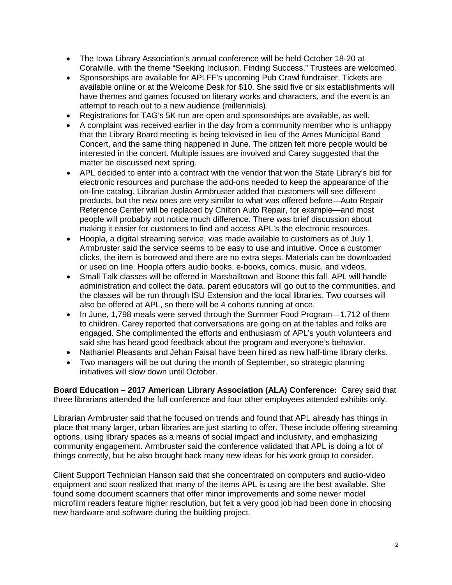- The Iowa Library Association's annual conference will be held October 18-20 at Coralville, with the theme "Seeking Inclusion, Finding Success." Trustees are welcomed.
- Sponsorships are available for APLFF's upcoming Pub Crawl fundraiser. Tickets are available online or at the Welcome Desk for \$10. She said five or six establishments will have themes and games focused on literary works and characters, and the event is an attempt to reach out to a new audience (millennials).
- Registrations for TAG's 5K run are open and sponsorships are available, as well.
- A complaint was received earlier in the day from a community member who is unhappy that the Library Board meeting is being televised in lieu of the Ames Municipal Band Concert, and the same thing happened in June. The citizen felt more people would be interested in the concert. Multiple issues are involved and Carey suggested that the matter be discussed next spring.
- APL decided to enter into a contract with the vendor that won the State Library's bid for electronic resources and purchase the add-ons needed to keep the appearance of the on-line catalog. Librarian Justin Armbruster added that customers will see different products, but the new ones are very similar to what was offered before—Auto Repair Reference Center will be replaced by Chilton Auto Repair, for example—and most people will probably not notice much difference. There was brief discussion about making it easier for customers to find and access APL's the electronic resources.
- Hoopla, a digital streaming service, was made available to customers as of July 1. Armbruster said the service seems to be easy to use and intuitive. Once a customer clicks, the item is borrowed and there are no extra steps. Materials can be downloaded or used on line. Hoopla offers audio books, e-books, comics, music, and videos.
- Small Talk classes will be offered in Marshalltown and Boone this fall. APL will handle administration and collect the data, parent educators will go out to the communities, and the classes will be run through ISU Extension and the local libraries. Two courses will also be offered at APL, so there will be 4 cohorts running at once.
- In June, 1,798 meals were served through the Summer Food Program—1,712 of them to children. Carey reported that conversations are going on at the tables and folks are engaged. She complimented the efforts and enthusiasm of APL's youth volunteers and said she has heard good feedback about the program and everyone's behavior.
- Nathaniel Pleasants and Jehan Faisal have been hired as new half-time library clerks.
- Two managers will be out during the month of September, so strategic planning initiatives will slow down until October.

**Board Education – 2017 American Library Association (ALA) Conference:** Carey said that three librarians attended the full conference and four other employees attended exhibits only.

Librarian Armbruster said that he focused on trends and found that APL already has things in place that many larger, urban libraries are just starting to offer. These include offering streaming options, using library spaces as a means of social impact and inclusivity, and emphasizing community engagement. Armbruster said the conference validated that APL is doing a lot of things correctly, but he also brought back many new ideas for his work group to consider.

Client Support Technician Hanson said that she concentrated on computers and audio-video equipment and soon realized that many of the items APL is using are the best available. She found some document scanners that offer minor improvements and some newer model microfilm readers feature higher resolution, but felt a very good job had been done in choosing new hardware and software during the building project.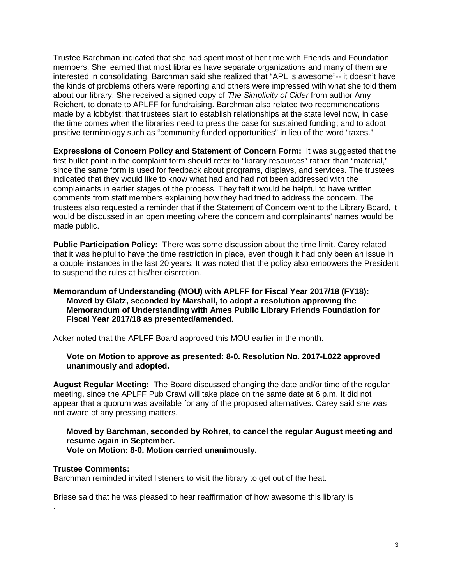Trustee Barchman indicated that she had spent most of her time with Friends and Foundation members. She learned that most libraries have separate organizations and many of them are interested in consolidating. Barchman said she realized that "APL is awesome"-- it doesn't have the kinds of problems others were reporting and others were impressed with what she told them about our library. She received a signed copy of *The Simplicity of Cider* from author Amy Reichert, to donate to APLFF for fundraising. Barchman also related two recommendations made by a lobbyist: that trustees start to establish relationships at the state level now, in case the time comes when the libraries need to press the case for sustained funding; and to adopt positive terminology such as "community funded opportunities" in lieu of the word "taxes."

**Expressions of Concern Policy and Statement of Concern Form:** It was suggested that the first bullet point in the complaint form should refer to "library resources" rather than "material," since the same form is used for feedback about programs, displays, and services. The trustees indicated that they would like to know what had and had not been addressed with the complainants in earlier stages of the process. They felt it would be helpful to have written comments from staff members explaining how they had tried to address the concern. The trustees also requested a reminder that if the Statement of Concern went to the Library Board, it would be discussed in an open meeting where the concern and complainants' names would be made public.

**Public Participation Policy:** There was some discussion about the time limit. Carey related that it was helpful to have the time restriction in place, even though it had only been an issue in a couple instances in the last 20 years. It was noted that the policy also empowers the President to suspend the rules at his/her discretion.

#### **Memorandum of Understanding (MOU) with APLFF for Fiscal Year 2017/18 (FY18): Moved by Glatz, seconded by Marshall, to adopt a resolution approving the Memorandum of Understanding with Ames Public Library Friends Foundation for Fiscal Year 2017/18 as presented/amended.**

Acker noted that the APLFF Board approved this MOU earlier in the month.

**Vote on Motion to approve as presented: 8-0. Resolution No. 2017-L022 approved unanimously and adopted.**

**August Regular Meeting:** The Board discussed changing the date and/or time of the regular meeting, since the APLFF Pub Crawl will take place on the same date at 6 p.m. It did not appear that a quorum was available for any of the proposed alternatives. Carey said she was not aware of any pressing matters.

# **Moved by Barchman, seconded by Rohret, to cancel the regular August meeting and resume again in September.**

# **Vote on Motion: 8-0. Motion carried unanimously.**

#### **Trustee Comments:**

.

Barchman reminded invited listeners to visit the library to get out of the heat.

Briese said that he was pleased to hear reaffirmation of how awesome this library is